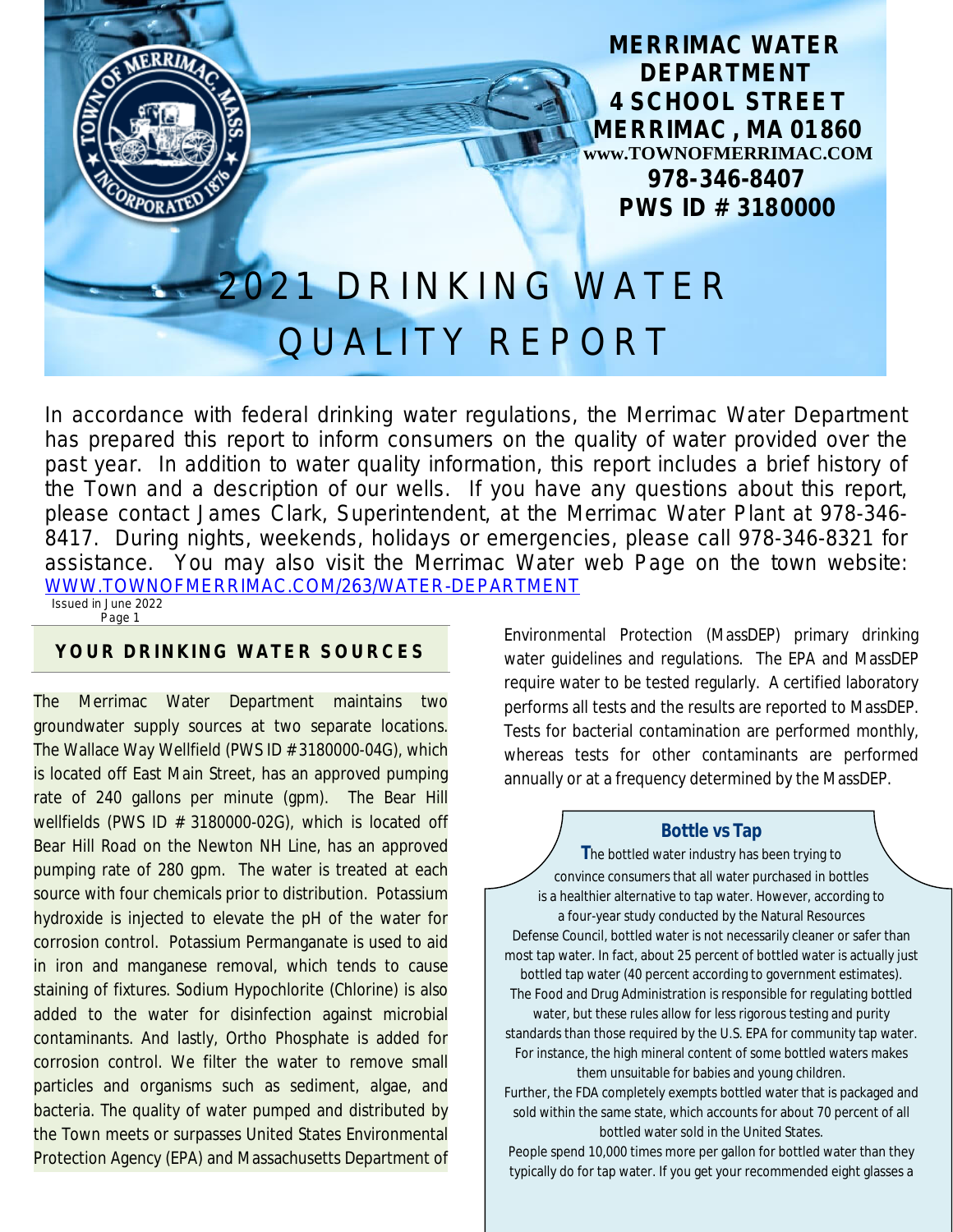**MERRIMAC WATER DEPARTMENT 4 SCHOOL STREET MERRIMAC , MA 01860 www.TOWNOFMERRIMAC.COM 978-346-8407 PWS ID # 3180000**

# 021 DRINKING WATER QUALITY REPORT

In accordance with federal drinking water regulations, the Merrimac Water Department has prepared this report to inform consumers on the quality of water provided over the past year. In addition to water quality information, this report includes a brief history of the Town and a description of our wells. If you have any questions about this report, please contact James Clark, Superintendent, at the Merrimac Water Plant at 978-346- 8417. During nights, weekends, holidays or emergencies, please call 978-346-8321 for assistance. You may also visit the Merrimac Water web Page on the town website: [WWW.TOWNOFMERRIMAC.COM/263/WATER-DEPARTMENT](file:///\\\\Merrimac02\\shared\\office\\DPW%20Billing\\DEP%20Monthly%20&%20REPORTS\\Annual%20Drinking%20Water\\WWW.TOWNOFMERRIMAC.COM\\263\\WATER-DEPARTMENT) Issued in June 2022

Page 1

#### **YOUR DRINKING WATER SOURCES**

The Merrimac Water Department maintains two groundwater supply sources at two separate locations. The Wallace Way Wellfield (PWS ID # 3180000-04G), which is located off East Main Street, has an approved pumping rate of 240 gallons per minute (gpm). The Bear Hill wellfields (PWS ID # 3180000-02G), which is located off Bear Hill Road on the Newton NH Line, has an approved pumping rate of 280 gpm. The water is treated at each source with four chemicals prior to distribution. Potassium hydroxide is injected to elevate the pH of the water for corrosion control. Potassium Permanganate is used to aid in iron and manganese removal, which tends to cause staining of fixtures. Sodium Hypochlorite (Chlorine) is also added to the water for disinfection against microbial contaminants. And lastly, Ortho Phosphate is added for corrosion control. We filter the water to remove small particles and organisms such as sediment, algae, and bacteria. The quality of water pumped and distributed by the Town meets or surpasses United States Environmental Protection Agency (EPA) and Massachusetts Department of

Environmental Protection (MassDEP) primary drinking water guidelines and regulations. The EPA and MassDEP require water to be tested regularly. A certified laboratory performs all tests and the results are reported to MassDEP. Tests for bacterial contamination are performed monthly, whereas tests for other contaminants are performed annually or at a frequency determined by the MassDEP.

#### **Bottle vs Tap**

**T**he bottled water industry has been trying to convince consumers that all water purchased in bottles is a healthier alternative to tap water. However, according to a four-year study conducted by the Natural Resources Defense Council, bottled water is not necessarily cleaner or safer than most tap water. In fact, about 25 percent of bottled water is actually just bottled tap water (40 percent according to government estimates). The Food and Drug Administration is responsible for regulating bottled water, but these rules allow for less rigorous testing and purity standards than those required by the U.S. EPA for community tap water. For instance, the high mineral content of some bottled waters makes them unsuitable for babies and young children. Further, the FDA completely exempts bottled water that is packaged and

sold within the same state, which accounts for about 70 percent of all bottled water sold in the United States.

People spend 10,000 times more per gallon for bottled water than they typically do for tap water. If you get your recommended eight glasses a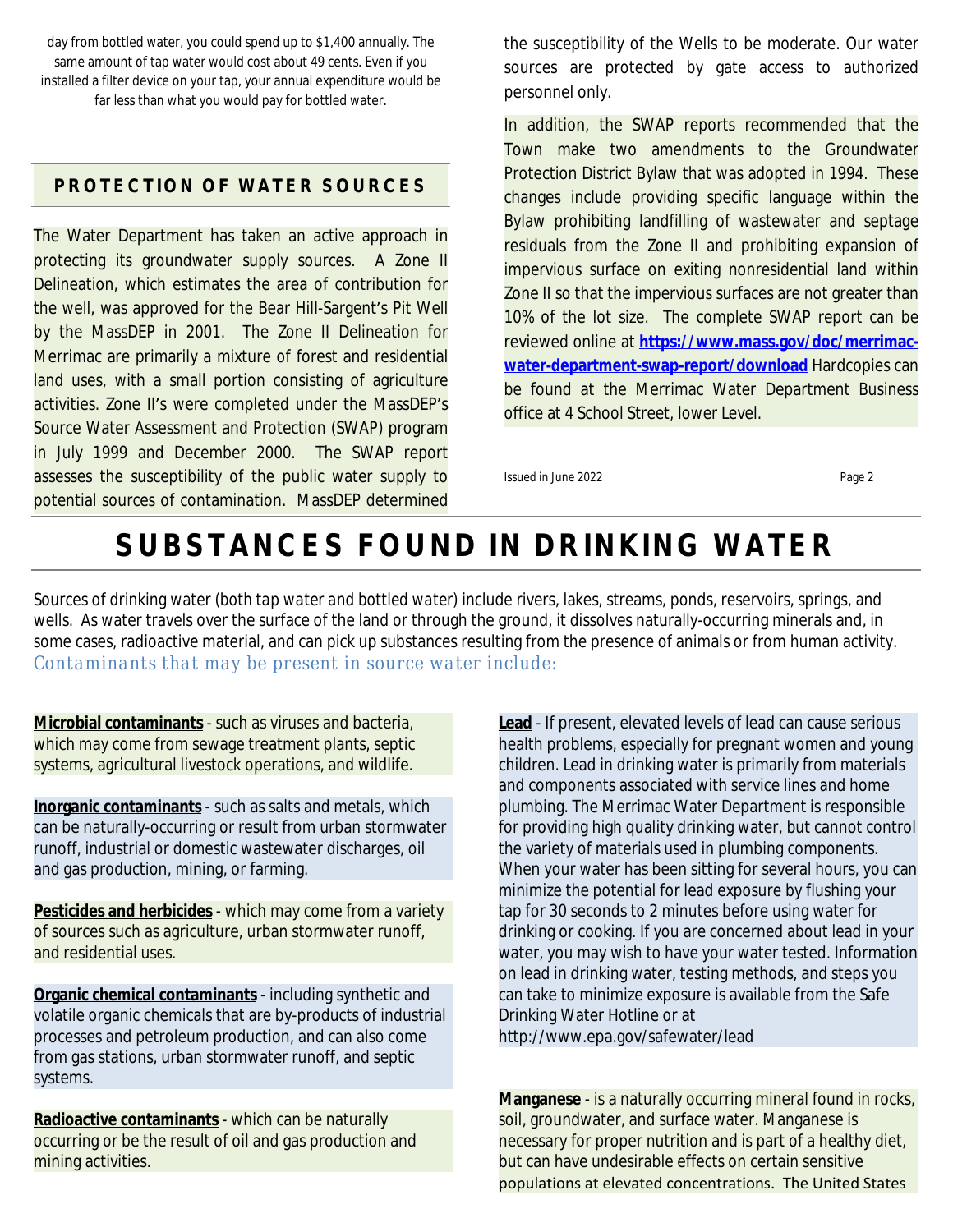day from bottled water, you could spend up to \$1,400 annually. The same amount of tap water would cost about 49 cents. Even if you installed a filter device on your tap, your annual expenditure would be far less than what you would pay for bottled water.

#### **PROTECTION OF WATER SOURCES**

The Water Department has taken an active approach in protecting its groundwater supply sources. A Zone II Delineation, which estimates the area of contribution for the well, was approved for the Bear Hill-Sargent's Pit Well by the MassDEP in 2001. The Zone II Delineation for Merrimac are primarily a mixture of forest and residential land uses, with a small portion consisting of agriculture activities. Zone II's were completed under the MassDEP's Source Water Assessment and Protection (SWAP) program in July 1999 and December 2000. The SWAP report assesses the susceptibility of the public water supply to potential sources of contamination. MassDEP determined

the susceptibility of the Wells to be moderate. Our water sources are protected by gate access to authorized personnel only.

In addition, the SWAP reports recommended that the Town make two amendments to the Groundwater Protection District Bylaw that was adopted in 1994. These changes include providing specific language within the Bylaw prohibiting landfilling of wastewater and septage residuals from the Zone II and prohibiting expansion of impervious surface on exiting nonresidential land within Zone II so that the impervious surfaces are not greater than 10% of the lot size. The complete SWAP report can be reviewed online at **[https://www.mass.gov/doc/merrimac](https://www.mass.gov/doc/merrimac-water-department-swap-report/download)water-department-swap-report/download** Hardcopies can be found at the Merrimac Water Department Business office at 4 School Street, lower Level.

Issued in June 2022 **Page 2** 

# **SUBSTANCES FOUND IN DRINKING WATER**

Sources of drinking water (*both tap water and bottled water*) include rivers, lakes, streams, ponds, reservoirs, springs, and wells. As water travels over the surface of the land or through the ground, it dissolves naturally-occurring minerals and, in some cases, radioactive material, and can pick up substances resulting from the presence of animals or from human activity. *Contaminants that may be present in source water include:*

**Microbial contaminants** - such as viruses and bacteria, which may come from sewage treatment plants, septic systems, agricultural livestock operations, and wildlife.

**Inorganic contaminants** - such as salts and metals, which can be naturally-occurring or result from urban stormwater runoff, industrial or domestic wastewater discharges, oil and gas production, mining, or farming.

**Pesticides and herbicides** - which may come from a variety of sources such as agriculture, urban stormwater runoff, and residential uses.

**Organic chemical contaminants** - including synthetic and volatile organic chemicals that are by-products of industrial processes and petroleum production, and can also come from gas stations, urban stormwater runoff, and septic systems.

**Radioactive contaminants** - which can be naturally occurring or be the result of oil and gas production and mining activities.

**Lead** - If present, elevated levels of lead can cause serious health problems, especially for pregnant women and young children. Lead in drinking water is primarily from materials and components associated with service lines and home plumbing. The Merrimac Water Department is responsible for providing high quality drinking water, but cannot control the variety of materials used in plumbing components. When your water has been sitting for several hours, you can minimize the potential for lead exposure by flushing your tap for 30 seconds to 2 minutes before using water for drinking or cooking. If you are concerned about lead in your water, you may wish to have your water tested. Information on lead in drinking water, testing methods, and steps you can take to minimize exposure is available from the Safe Drinking Water Hotline or at <http://www.epa.gov/safewater/lead>

**Manganese** - is a naturally occurring mineral found in rocks, soil, groundwater, and surface water. Manganese is necessary for proper nutrition and is part of a healthy diet, but can have undesirable effects on certain sensitive populations at elevated concentrations. The United States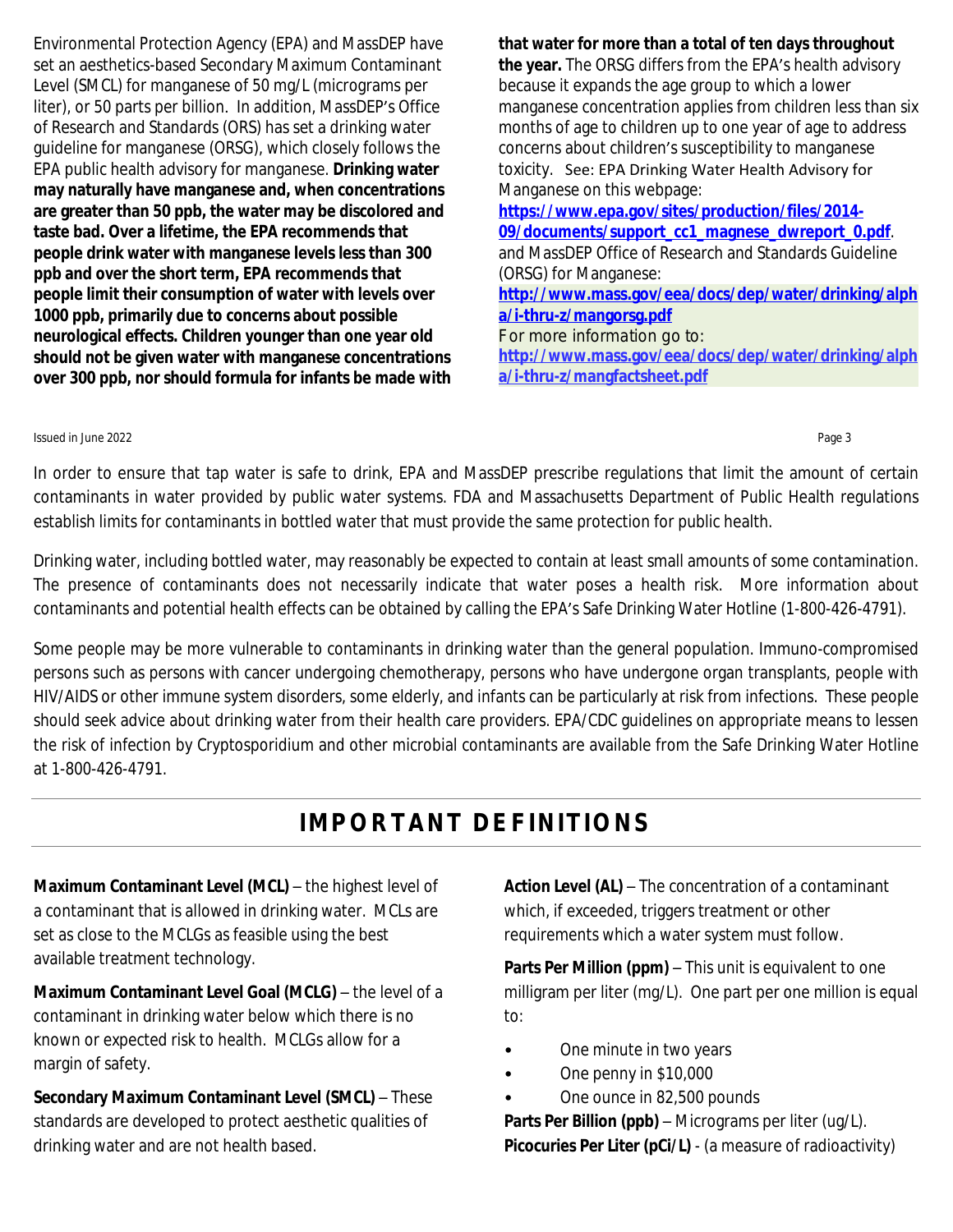Environmental Protection Agency (EPA) and MassDEP have set an aesthetics-based Secondary Maximum Contaminant Level (SMCL) for manganese of 50 mg/L (micrograms per liter), or 50 parts per billion. In addition, MassDEP's Office of Research and Standards (ORS) has set a drinking water guideline for manganese (ORSG), which closely follows the EPA public health advisory for manganese. **Drinking water may naturally have manganese and, when concentrations are greater than 50 ppb, the water may be discolored and taste bad. Over a lifetime, the EPA recommends that people drink water with manganese levels less than 300 ppb and over the short term, EPA recommends that people limit their consumption of water with levels over 1000 ppb, primarily due to concerns about possible neurological effects. Children younger than one year old should not be given water with manganese concentrations over 300 ppb, nor should formula for infants be made with** **that water for more than a total of ten days throughout the year.** The ORSG differs from the EPA's health advisory because it expands the age group to which a lower manganese concentration applies from children less than six months of age to children up to one year of age to address concerns about children's susceptibility to manganese toxicity. See: EPA Drinking Water Health Advisory for Manganese on this webpage: **[https://www.epa.gov/sites/production/files/2014-](https://www.epa.gov/sites/production/files/2014-09/documents/support_cc1_magnese_dwreport_0.pdf%20) 09/documents/support\_cc1\_magnese\_dwreport\_0.pdf**. and MassDEP Office of Research and Standards Guideline (ORSG) for Manganese: **[http://www.mass.gov/eea/docs/dep/water/drinking/alph](http://www.mass.gov/eea/docs/dep/water/drinking/alpha/i-thru-z/mangorsg.pdf) [a/i-thru-z/mangorsg.pdf](http://www.mass.gov/eea/docs/dep/water/drinking/alpha/i-thru-z/mangorsg.pdf)** For more information go to: **[http://www.mass.gov/eea/docs/dep/water/drinking/alph](http://www.mass.gov/eea/docs/dep/water/drinking/alpha/i-thru-z/mangfactsheet.pdf)**

**a/i-thru-z/mangfactsheet.pdf**

#### Issued in June 2022 Page 3

In order to ensure that tap water is safe to drink, EPA and MassDEP prescribe regulations that limit the amount of certain contaminants in water provided by public water systems. FDA and Massachusetts Department of Public Health regulations establish limits for contaminants in bottled water that must provide the same protection for public health.

Drinking water, including bottled water, may reasonably be expected to contain at least small amounts of some contamination. The presence of contaminants does not necessarily indicate that water poses a health risk. More information about contaminants and potential health effects can be obtained by calling the EPA's Safe Drinking Water Hotline (1-800-426-4791).

Some people may be more vulnerable to contaminants in drinking water than the general population. Immuno-compromised persons such as persons with cancer undergoing chemotherapy, persons who have undergone organ transplants, people with HIV/AIDS or other immune system disorders, some elderly, and infants can be particularly at risk from infections. These people should seek advice about drinking water from their health care providers. EPA/CDC guidelines on appropriate means to lessen the risk of infection by Cryptosporidium and other microbial contaminants are available from the Safe Drinking Water Hotline at 1-800-426-4791.

# **IMPORTANT DEFINITIONS**

**Maximum Contaminant Level (MCL)** – the highest level of a contaminant that is allowed in drinking water. MCLs are set as close to the MCLGs as feasible using the best available treatment technology.

**Maximum Contaminant Level Goal (MCLG)** – the level of a contaminant in drinking water below which there is no known or expected risk to health. MCLGs allow for a margin of safety.

**Secondary Maximum Contaminant Level (SMCL)** – These standards are developed to protect aesthetic qualities of drinking water and are not health based.

**Action Level (AL)** – The concentration of a contaminant which, if exceeded, triggers treatment or other requirements which a water system must follow.

**Parts Per Million (ppm)** – This unit is equivalent to one milligram per liter (mg/L). One part per one million is equal to:

- One minute in two years
- One penny in \$10,000
- One ounce in 82,500 pounds

**Parts Per Billion (ppb)** – Micrograms per liter (ug/L). **Picocuries Per Liter (pCi/L)** - (a measure of radioactivity)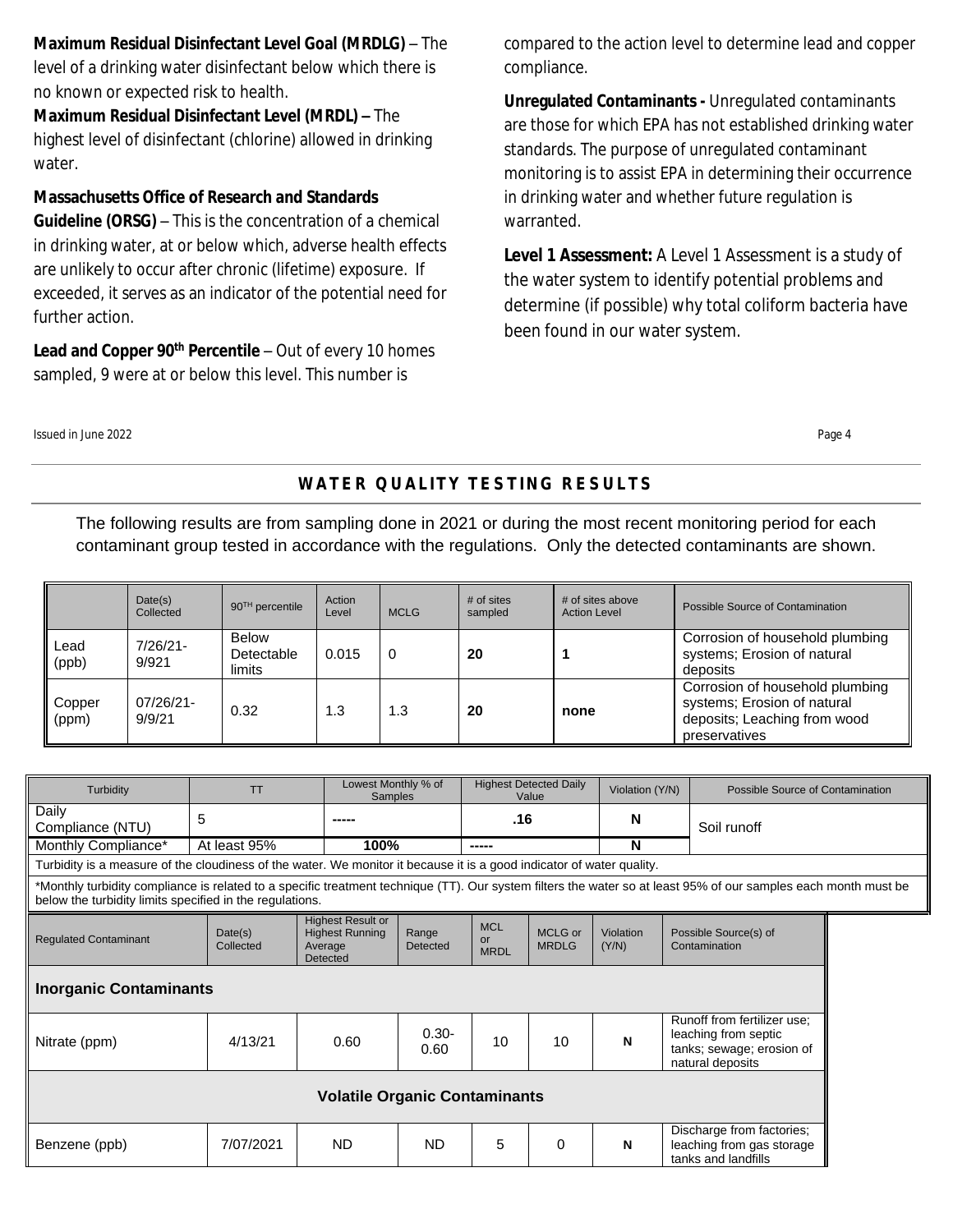#### **Maximum Residual Disinfectant Level Goal (MRDLG)** – The

level of a drinking water disinfectant below which there is no known or expected risk to health.

**Maximum Residual Disinfectant Level (MRDL) –** The highest level of disinfectant (chlorine) allowed in drinking water.

#### **Massachusetts Office of Research and Standards**

**Guideline (ORSG)** – This is the concentration of a chemical in drinking water, at or below which, adverse health effects are unlikely to occur after chronic (lifetime) exposure. If exceeded, it serves as an indicator of the potential need for further action.

**Lead and Copper 90th Percentile** – Out of every 10 homes sampled, 9 were at or below this level. This number is

compared to the action level to determine lead and copper compliance.

**Unregulated Contaminants -** Unregulated contaminants are those for which EPA has not established drinking water standards. The purpose of unregulated contaminant monitoring is to assist EPA in determining their occurrence in drinking water and whether future regulation is warranted.

**Level 1 Assessment:** A Level 1 Assessment is a study of the water system to identify potential problems and determine (if possible) why total coliform bacteria have been found in our water system.

Issued in June 2022 Page 4

### **WATER QUALITY TESTING RESULTS**

The following results are from sampling done in 2021 or during the most recent monitoring period for each contaminant group tested in accordance with the regulations. Only the detected contaminants are shown.

|                 | Date(s)<br>Collected | $90TH$ percentile                    | Action<br>Level | <b>MCLG</b> | # of sites<br>sampled | # of sites above<br><b>Action Level</b> | Possible Source of Contamination                                                                                |
|-----------------|----------------------|--------------------------------------|-----------------|-------------|-----------------------|-----------------------------------------|-----------------------------------------------------------------------------------------------------------------|
| Lead<br>(ppb)   | $7/26/21-$<br>9/921  | <b>Below</b><br>Detectable<br>limits | 0.015           | 0           | 20                    |                                         | Corrosion of household plumbing<br>systems; Erosion of natural<br>deposits                                      |
| Copper<br>(ppm) | 07/26/21-<br>9/9/21  | 0.32                                 | 1.3             | 1.3         | 20                    | none                                    | Corrosion of household plumbing<br>systems; Erosion of natural<br>deposits; Leaching from wood<br>preservatives |

| Turbidity                                                                                                                                                                                                                   | <b>TT</b>            |                                                                           | Lowest Monthly % of<br><b>Samples</b> |                                 | <b>Highest Detected Daily</b><br>Value |                    | Violation (Y/N)                                                                                      | Possible Source of Contamination                                              |  |  |
|-----------------------------------------------------------------------------------------------------------------------------------------------------------------------------------------------------------------------------|----------------------|---------------------------------------------------------------------------|---------------------------------------|---------------------------------|----------------------------------------|--------------------|------------------------------------------------------------------------------------------------------|-------------------------------------------------------------------------------|--|--|
| Daily<br>Compliance (NTU)                                                                                                                                                                                                   | 5                    |                                                                           |                                       | .16                             |                                        | N                  |                                                                                                      | Soil runoff                                                                   |  |  |
| Monthly Compliance*                                                                                                                                                                                                         | At least 95%         |                                                                           | 100%                                  |                                 | -----                                  |                    |                                                                                                      |                                                                               |  |  |
| Turbidity is a measure of the cloudiness of the water. We monitor it because it is a good indicator of water quality.                                                                                                       |                      |                                                                           |                                       |                                 |                                        |                    |                                                                                                      |                                                                               |  |  |
| *Monthly turbidity compliance is related to a specific treatment technique (TT). Our system filters the water so at least 95% of our samples each month must be<br>below the turbidity limits specified in the regulations. |                      |                                                                           |                                       |                                 |                                        |                    |                                                                                                      |                                                                               |  |  |
| <b>Regulated Contaminant</b>                                                                                                                                                                                                | Date(s)<br>Collected | <b>Highest Result or</b><br><b>Highest Running</b><br>Average<br>Detected | Range<br>Detected                     | <b>MCL</b><br>or<br><b>MRDL</b> | MCLG or<br><b>MRDLG</b>                | Violation<br>(Y/N) |                                                                                                      | Possible Source(s) of<br>Contamination                                        |  |  |
| <b>Inorganic Contaminants</b>                                                                                                                                                                                               |                      |                                                                           |                                       |                                 |                                        |                    |                                                                                                      |                                                                               |  |  |
| Nitrate (ppm)                                                                                                                                                                                                               | 4/13/21              | 0.60                                                                      | $0.30 -$<br>0.60                      | 10                              | 10                                     | N                  | Runoff from fertilizer use:<br>leaching from septic<br>tanks; sewage; erosion of<br>natural deposits |                                                                               |  |  |
| <b>Volatile Organic Contaminants</b>                                                                                                                                                                                        |                      |                                                                           |                                       |                                 |                                        |                    |                                                                                                      |                                                                               |  |  |
| Benzene (ppb)                                                                                                                                                                                                               | 7/07/2021            | ND.                                                                       | <b>ND</b>                             | 5                               | $\Omega$                               | N                  |                                                                                                      | Discharge from factories;<br>leaching from gas storage<br>tanks and landfills |  |  |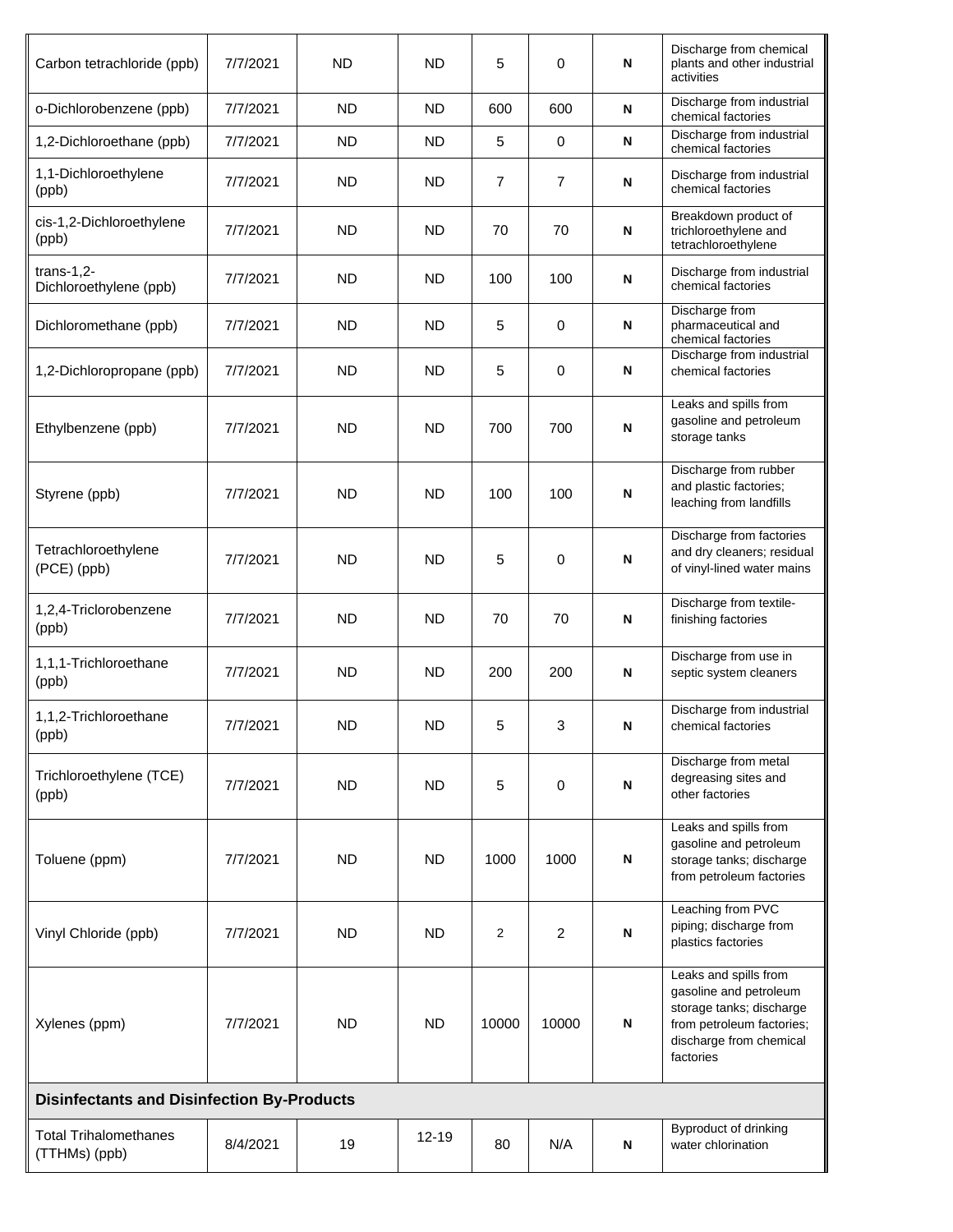| Carbon tetrachloride (ppb)                        | 7/7/2021 | <b>ND</b> | <b>ND</b> | 5     | 0              | N | Discharge from chemical<br>plants and other industrial<br>activities                                                                             |  |
|---------------------------------------------------|----------|-----------|-----------|-------|----------------|---|--------------------------------------------------------------------------------------------------------------------------------------------------|--|
| o-Dichlorobenzene (ppb)                           | 7/7/2021 | <b>ND</b> | <b>ND</b> | 600   | 600            | N | Discharge from industrial<br>chemical factories                                                                                                  |  |
| 1,2-Dichloroethane (ppb)                          | 7/7/2021 | <b>ND</b> | <b>ND</b> | 5     | 0              | N | Discharge from industrial<br>chemical factories                                                                                                  |  |
| 1,1-Dichloroethylene<br>(ppb)                     | 7/7/2021 | <b>ND</b> | <b>ND</b> | 7     | $\overline{7}$ | N | Discharge from industrial<br>chemical factories                                                                                                  |  |
| cis-1,2-Dichloroethylene<br>(ppb)                 | 7/7/2021 | ND        | ND        | 70    | 70             | N | Breakdown product of<br>trichloroethylene and<br>tetrachloroethylene                                                                             |  |
| $trans-1,2-$<br>Dichloroethylene (ppb)            | 7/7/2021 | <b>ND</b> | <b>ND</b> | 100   | 100            | N | Discharge from industrial<br>chemical factories                                                                                                  |  |
| Dichloromethane (ppb)                             | 7/7/2021 | ND        | ND        | 5     | $\mathbf 0$    | N | Discharge from<br>pharmaceutical and<br>chemical factories                                                                                       |  |
| 1,2-Dichloropropane (ppb)                         | 7/7/2021 | <b>ND</b> | <b>ND</b> | 5     | 0              | N | Discharge from industrial<br>chemical factories                                                                                                  |  |
| Ethylbenzene (ppb)                                | 7/7/2021 | <b>ND</b> | <b>ND</b> | 700   | 700            | N | Leaks and spills from<br>gasoline and petroleum<br>storage tanks                                                                                 |  |
| Styrene (ppb)                                     | 7/7/2021 | <b>ND</b> | <b>ND</b> | 100   | 100            | N | Discharge from rubber<br>and plastic factories;<br>leaching from landfills                                                                       |  |
| Tetrachloroethylene<br>(PCE) (ppb)                | 7/7/2021 | <b>ND</b> | <b>ND</b> | 5     | 0              | N | Discharge from factories<br>and dry cleaners; residual<br>of vinyl-lined water mains                                                             |  |
| 1,2,4-Triclorobenzene<br>(ppb)                    | 7/7/2021 | <b>ND</b> | <b>ND</b> | 70    | 70             | N | Discharge from textile-<br>finishing factories                                                                                                   |  |
| 1,1,1-Trichloroethane<br>(ppb)                    | 7/7/2021 | <b>ND</b> | <b>ND</b> | 200   | 200            | N | Discharge from use in<br>septic system cleaners                                                                                                  |  |
| 1,1,2-Trichloroethane<br>(ppb)                    | 7/7/2021 | <b>ND</b> | <b>ND</b> | 5     | 3              | N | Discharge from industrial<br>chemical factories                                                                                                  |  |
| Trichloroethylene (TCE)<br>(ppb)                  | 7/7/2021 | <b>ND</b> | <b>ND</b> | 5     | 0              | N | Discharge from metal<br>degreasing sites and<br>other factories                                                                                  |  |
| Toluene (ppm)                                     | 7/7/2021 | <b>ND</b> | <b>ND</b> | 1000  | 1000           | N | Leaks and spills from<br>gasoline and petroleum<br>storage tanks; discharge<br>from petroleum factories                                          |  |
| Vinyl Chloride (ppb)                              | 7/7/2021 | <b>ND</b> | <b>ND</b> | 2     | 2              | N | Leaching from PVC<br>piping; discharge from<br>plastics factories                                                                                |  |
| Xylenes (ppm)                                     | 7/7/2021 | <b>ND</b> | <b>ND</b> | 10000 | 10000          | N | Leaks and spills from<br>gasoline and petroleum<br>storage tanks; discharge<br>from petroleum factories;<br>discharge from chemical<br>factories |  |
| <b>Disinfectants and Disinfection By-Products</b> |          |           |           |       |                |   |                                                                                                                                                  |  |
| <b>Total Trihalomethanes</b><br>(TTHMs) (ppb)     | 8/4/2021 | 19        | $12 - 19$ | 80    | N/A            | N | Byproduct of drinking<br>water chlorination                                                                                                      |  |
|                                                   |          |           |           |       |                |   |                                                                                                                                                  |  |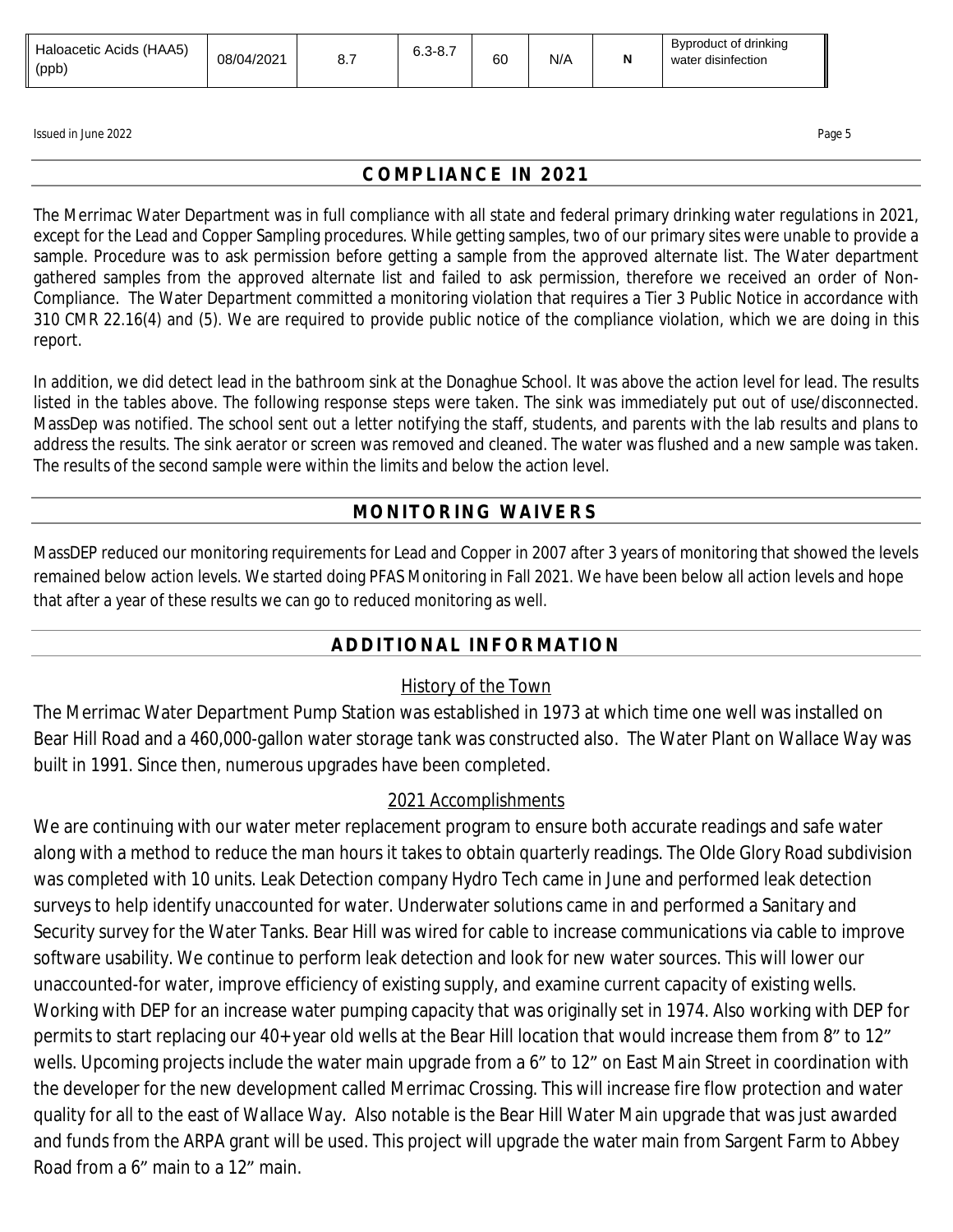| Haloacetic Acids (HAA5)<br>(ppb) | 08/04/2021 | <b></b> | $6.3 - 8.7$ | 60 | N/A |  | Byproduct of drinking<br>∵ disinfection<br>water |
|----------------------------------|------------|---------|-------------|----|-----|--|--------------------------------------------------|
|----------------------------------|------------|---------|-------------|----|-----|--|--------------------------------------------------|

Issued in June 2022 Page 5 Page 5 Page 5 Page 5 Page 5 Page 5 Page 5 Page 5 Page 5 Page 5 Page 5 Page 5 Page 5

### **COMPLIANCE IN 2021**

The Merrimac Water Department was in full compliance with all state and federal primary drinking water regulations in 2021, except for the Lead and Copper Sampling procedures. While getting samples, two of our primary sites were unable to provide a sample. Procedure was to ask permission before getting a sample from the approved alternate list. The Water department gathered samples from the approved alternate list and failed to ask permission, therefore we received an order of Non-Compliance. The Water Department committed a monitoring violation that requires a Tier 3 Public Notice in accordance with 310 CMR 22.16(4) and (5). We are required to provide public notice of the compliance violation, which we are doing in this report.

In addition, we did detect lead in the bathroom sink at the Donaghue School. It was above the action level for lead. The results listed in the tables above. The following response steps were taken. The sink was immediately put out of use/disconnected. MassDep was notified. The school sent out a letter notifying the staff, students, and parents with the lab results and plans to address the results. The sink aerator or screen was removed and cleaned. The water was flushed and a new sample was taken. The results of the second sample were within the limits and below the action level.

# **MONITORING WAIVERS**

MassDEP reduced our monitoring requirements for Lead and Copper in 2007 after 3 years of monitoring that showed the levels remained below action levels. We started doing PFAS Monitoring in Fall 2021. We have been below all action levels and hope that after a year of these results we can go to reduced monitoring as well.

# **ADDITIONAL INFORMATION**

# History of the Town

The Merrimac Water Department Pump Station was established in 1973 at which time one well was installed on Bear Hill Road and a 460,000-gallon water storage tank was constructed also. The Water Plant on Wallace Way was built in 1991. Since then, numerous upgrades have been completed.

#### 2021 Accomplishments

We are continuing with our water meter replacement program to ensure both accurate readings and safe water along with a method to reduce the man hours it takes to obtain quarterly readings. The Olde Glory Road subdivision was completed with 10 units. Leak Detection company Hydro Tech came in June and performed leak detection surveys to help identify unaccounted for water. Underwater solutions came in and performed a Sanitary and Security survey for the Water Tanks. Bear Hill was wired for cable to increase communications via cable to improve software usability. We continue to perform leak detection and look for new water sources. This will lower our unaccounted-for water, improve efficiency of existing supply, and examine current capacity of existing wells. Working with DEP for an increase water pumping capacity that was originally set in 1974. Also working with DEP for permits to start replacing our 40+ year old wells at the Bear Hill location that would increase them from 8" to 12" wells. Upcoming projects include the water main upgrade from a 6" to 12" on East Main Street in coordination with the developer for the new development called Merrimac Crossing. This will increase fire flow protection and water quality for all to the east of Wallace Way. Also notable is the Bear Hill Water Main upgrade that was just awarded and funds from the ARPA grant will be used. This project will upgrade the water main from Sargent Farm to Abbey Road from a 6" main to a 12" main.